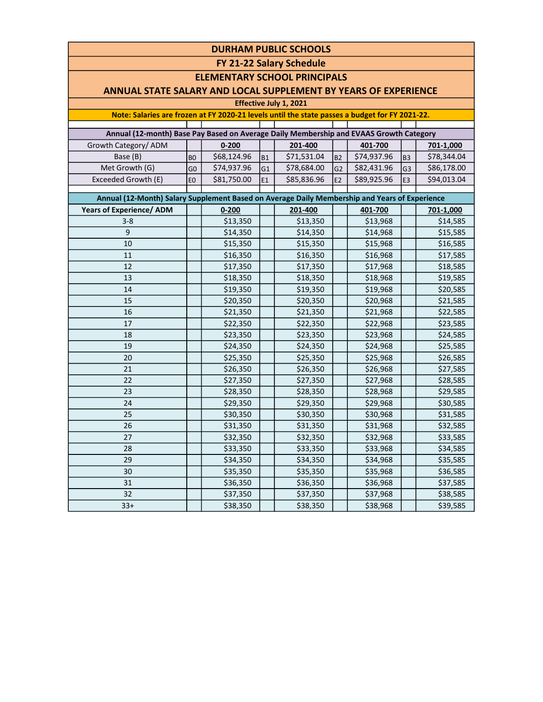| <b>DURHAM PUBLIC SCHOOLS</b>                                                                  |                                                                                                |             |                |                        |                |             |                |                          |  |  |  |  |  |  |  |
|-----------------------------------------------------------------------------------------------|------------------------------------------------------------------------------------------------|-------------|----------------|------------------------|----------------|-------------|----------------|--------------------------|--|--|--|--|--|--|--|
| FY 21-22 Salary Schedule                                                                      |                                                                                                |             |                |                        |                |             |                |                          |  |  |  |  |  |  |  |
| <b>ELEMENTARY SCHOOL PRINCIPALS</b>                                                           |                                                                                                |             |                |                        |                |             |                |                          |  |  |  |  |  |  |  |
| ANNUAL STATE SALARY AND LOCAL SUPPLEMENT BY YEARS OF EXPERIENCE                               |                                                                                                |             |                |                        |                |             |                |                          |  |  |  |  |  |  |  |
|                                                                                               |                                                                                                |             |                | Effective July 1, 2021 |                |             |                |                          |  |  |  |  |  |  |  |
|                                                                                               | Note: Salaries are frozen at FY 2020-21 levels until the state passes a budget for FY 2021-22. |             |                |                        |                |             |                |                          |  |  |  |  |  |  |  |
| Annual (12-month) Base Pay Based on Average Daily Membership and EVAAS Growth Category        |                                                                                                |             |                |                        |                |             |                |                          |  |  |  |  |  |  |  |
| Growth Category/ ADM                                                                          |                                                                                                | $0 - 200$   |                | 201-400                |                | 401-700     |                |                          |  |  |  |  |  |  |  |
| Base (B)                                                                                      |                                                                                                | \$68,124.96 | <b>B1</b>      | \$71,531.04            | B <sub>2</sub> | \$74,937.96 | B <sub>3</sub> | 701-1,000<br>\$78,344.04 |  |  |  |  |  |  |  |
| Met Growth (G)                                                                                | B <sub>O</sub><br>G <sub>0</sub>                                                               | \$74,937.96 | G <sub>1</sub> | \$78,684.00            | G2             | \$82,431.96 | G3             | \$86,178.00              |  |  |  |  |  |  |  |
| Exceeded Growth (E)                                                                           | E <sub>0</sub>                                                                                 | \$81,750.00 | E <sub>1</sub> | \$85,836.96            | E2             | \$89,925.96 | E <sub>3</sub> | \$94,013.04              |  |  |  |  |  |  |  |
|                                                                                               |                                                                                                |             |                |                        |                |             |                |                          |  |  |  |  |  |  |  |
| Annual (12-Month) Salary Supplement Based on Average Daily Membership and Years of Experience |                                                                                                |             |                |                        |                |             |                |                          |  |  |  |  |  |  |  |
| <b>Years of Experience/ ADM</b>                                                               |                                                                                                | $0 - 200$   |                | 201-400                |                | 401-700     |                | 701-1,000                |  |  |  |  |  |  |  |
| $3 - 8$                                                                                       |                                                                                                | \$13,350    |                | \$13,350               |                | \$13,968    |                | \$14,585                 |  |  |  |  |  |  |  |
| 9                                                                                             |                                                                                                | \$14,350    |                | \$14,350               |                | \$14,968    |                | \$15,585                 |  |  |  |  |  |  |  |
| 10                                                                                            |                                                                                                | \$15,350    |                | \$15,350               |                | \$15,968    |                | \$16,585                 |  |  |  |  |  |  |  |
| 11                                                                                            |                                                                                                | \$16,350    |                | \$16,350               |                | \$16,968    |                | \$17,585                 |  |  |  |  |  |  |  |
| 12                                                                                            |                                                                                                | \$17,350    |                | \$17,350               |                | \$17,968    |                | \$18,585                 |  |  |  |  |  |  |  |
| 13                                                                                            |                                                                                                | \$18,350    |                | \$18,350               |                | \$18,968    |                | \$19,585                 |  |  |  |  |  |  |  |
| 14                                                                                            |                                                                                                | \$19,350    |                | \$19,350               |                | \$19,968    |                | \$20,585                 |  |  |  |  |  |  |  |
| 15                                                                                            |                                                                                                | \$20,350    |                | \$20,350               |                | \$20,968    |                | \$21,585                 |  |  |  |  |  |  |  |
| 16                                                                                            |                                                                                                | \$21,350    |                | \$21,350               |                | \$21,968    |                | \$22,585                 |  |  |  |  |  |  |  |
| 17                                                                                            |                                                                                                | \$22,350    |                | \$22,350               |                | \$22,968    |                | \$23,585                 |  |  |  |  |  |  |  |
| 18                                                                                            |                                                                                                | \$23,350    |                | \$23,350               |                | \$23,968    |                | \$24,585                 |  |  |  |  |  |  |  |
| 19                                                                                            |                                                                                                | \$24,350    |                | \$24,350               |                | \$24,968    |                | \$25,585                 |  |  |  |  |  |  |  |
| 20                                                                                            |                                                                                                | \$25,350    |                | \$25,350               |                | \$25,968    |                | \$26,585                 |  |  |  |  |  |  |  |
| 21                                                                                            |                                                                                                | \$26,350    |                | \$26,350               |                | \$26,968    |                | \$27,585                 |  |  |  |  |  |  |  |
| 22                                                                                            |                                                                                                | \$27,350    |                | \$27,350               |                | \$27,968    |                | \$28,585                 |  |  |  |  |  |  |  |
| 23                                                                                            |                                                                                                | \$28,350    |                | \$28,350               |                | \$28,968    |                | \$29,585                 |  |  |  |  |  |  |  |
| 24                                                                                            |                                                                                                | \$29,350    |                | \$29,350               |                | \$29,968    |                | \$30,585                 |  |  |  |  |  |  |  |
| 25                                                                                            |                                                                                                | \$30,350    |                | \$30,350               |                | \$30,968    |                | \$31,585                 |  |  |  |  |  |  |  |
| 26                                                                                            |                                                                                                | \$31,350    |                | \$31,350               |                | \$31,968    |                | \$32,585                 |  |  |  |  |  |  |  |
| 27                                                                                            |                                                                                                | \$32,350    |                | \$32,350               |                | \$32,968    |                | \$33,585                 |  |  |  |  |  |  |  |
| 28                                                                                            |                                                                                                | \$33,350    |                | \$33,350               |                | \$33,968    |                | \$34,585                 |  |  |  |  |  |  |  |
| 29                                                                                            |                                                                                                | \$34,350    |                | \$34,350               |                | \$34,968    |                | \$35,585                 |  |  |  |  |  |  |  |
| 30                                                                                            |                                                                                                | \$35,350    |                | \$35,350               |                | \$35,968    |                | \$36,585                 |  |  |  |  |  |  |  |
| 31                                                                                            |                                                                                                | \$36,350    |                | \$36,350               |                | \$36,968    |                | \$37,585                 |  |  |  |  |  |  |  |
| 32                                                                                            |                                                                                                | \$37,350    |                | \$37,350               |                | \$37,968    |                | \$38,585                 |  |  |  |  |  |  |  |
| $33+$                                                                                         |                                                                                                | \$38,350    |                | \$38,350               |                | \$38,968    |                | \$39,585                 |  |  |  |  |  |  |  |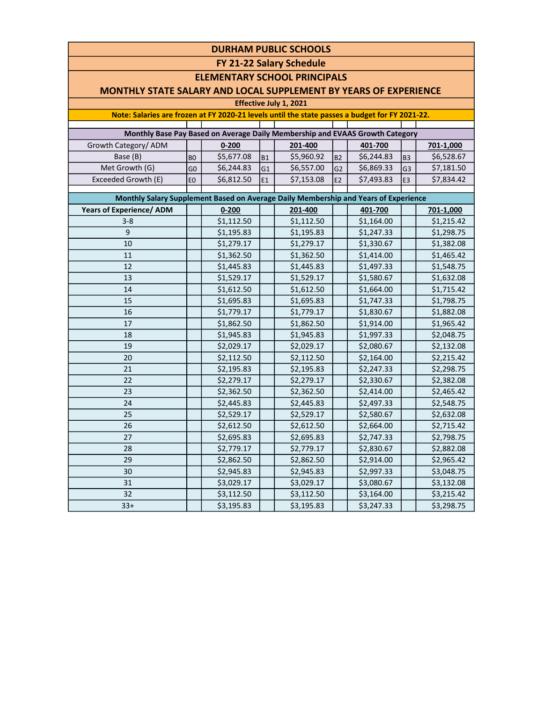| <b>DURHAM PUBLIC SCHOOLS</b>                                                                   |                |            |           |            |                |            |                |                        |  |  |  |  |  |  |
|------------------------------------------------------------------------------------------------|----------------|------------|-----------|------------|----------------|------------|----------------|------------------------|--|--|--|--|--|--|
| FY 21-22 Salary Schedule                                                                       |                |            |           |            |                |            |                |                        |  |  |  |  |  |  |
| <b>ELEMENTARY SCHOOL PRINCIPALS</b>                                                            |                |            |           |            |                |            |                |                        |  |  |  |  |  |  |
| <b>MONTHLY STATE SALARY AND LOCAL SUPPLEMENT BY YEARS OF EXPERIENCE</b>                        |                |            |           |            |                |            |                |                        |  |  |  |  |  |  |
| Effective July 1, 2021                                                                         |                |            |           |            |                |            |                |                        |  |  |  |  |  |  |
| Note: Salaries are frozen at FY 2020-21 levels until the state passes a budget for FY 2021-22. |                |            |           |            |                |            |                |                        |  |  |  |  |  |  |
|                                                                                                |                |            |           |            |                |            |                |                        |  |  |  |  |  |  |
| Monthly Base Pay Based on Average Daily Membership and EVAAS Growth Category                   |                |            |           |            |                |            |                |                        |  |  |  |  |  |  |
| Growth Category/ ADM                                                                           |                | $0 - 200$  |           | 201-400    |                | 401-700    |                | 701-1,000              |  |  |  |  |  |  |
| Base (B)                                                                                       | B <sub>0</sub> | \$5,677.08 | <b>B1</b> | \$5,960.92 | <b>B2</b>      | \$6,244.83 | B <sub>3</sub> | \$6,528.67             |  |  |  |  |  |  |
| Met Growth (G)                                                                                 | G <sub>0</sub> | \$6,244.83 | G1        | \$6,557.00 | G <sub>2</sub> | \$6,869.33 | G <sub>3</sub> | \$7,181.50             |  |  |  |  |  |  |
| Exceeded Growth (E)                                                                            | E <sub>0</sub> | \$6,812.50 | E1        | \$7,153.08 | E <sub>2</sub> | \$7,493.83 | E <sub>3</sub> | \$7,834.42             |  |  |  |  |  |  |
| Monthly Salary Supplement Based on Average Daily Membership and Years of Experience            |                |            |           |            |                |            |                |                        |  |  |  |  |  |  |
| <b>Years of Experience/ ADM</b>                                                                |                | $0 - 200$  |           | 201-400    |                | 401-700    |                | 701-1,000              |  |  |  |  |  |  |
| $3 - 8$                                                                                        |                | \$1,112.50 |           | \$1,112.50 |                | \$1,164.00 |                | \$1,215.42             |  |  |  |  |  |  |
| 9                                                                                              |                | \$1,195.83 |           | \$1,195.83 |                | \$1,247.33 |                | \$1,298.75             |  |  |  |  |  |  |
| 10                                                                                             |                | \$1,279.17 |           | \$1,279.17 |                | \$1,330.67 |                | \$1,382.08             |  |  |  |  |  |  |
| 11                                                                                             |                | \$1,362.50 |           | \$1,362.50 |                | \$1,414.00 |                | \$1,465.42             |  |  |  |  |  |  |
| 12                                                                                             |                | \$1,445.83 |           | \$1,445.83 |                | \$1,497.33 |                | \$1,548.75             |  |  |  |  |  |  |
| 13                                                                                             |                | \$1,529.17 |           | \$1,529.17 |                | \$1,580.67 |                | $\overline{$}1,632.08$ |  |  |  |  |  |  |
| 14                                                                                             |                | \$1,612.50 |           | \$1,612.50 |                | \$1,664.00 |                | \$1,715.42             |  |  |  |  |  |  |
| 15                                                                                             |                | \$1,695.83 |           | \$1,695.83 |                | \$1,747.33 |                | \$1,798.75             |  |  |  |  |  |  |
| 16                                                                                             |                | \$1,779.17 |           | \$1,779.17 |                | \$1,830.67 |                | \$1,882.08             |  |  |  |  |  |  |
| 17                                                                                             |                | \$1,862.50 |           | \$1,862.50 |                | \$1,914.00 |                | \$1,965.42             |  |  |  |  |  |  |
| 18                                                                                             |                | \$1,945.83 |           | \$1,945.83 |                | \$1,997.33 |                | \$2,048.75             |  |  |  |  |  |  |
| 19                                                                                             |                | \$2,029.17 |           | \$2,029.17 |                | \$2,080.67 |                | \$2,132.08             |  |  |  |  |  |  |
| 20                                                                                             |                | \$2,112.50 |           | \$2,112.50 |                | \$2,164.00 |                | \$2,215.42             |  |  |  |  |  |  |
| 21                                                                                             |                | \$2,195.83 |           | \$2,195.83 |                | \$2,247.33 |                | \$2,298.75             |  |  |  |  |  |  |
| 22                                                                                             |                | \$2,279.17 |           | \$2,279.17 |                | \$2,330.67 |                | \$2,382.08             |  |  |  |  |  |  |
| 23                                                                                             |                | \$2,362.50 |           | \$2,362.50 |                | \$2,414.00 |                | \$2,465.42             |  |  |  |  |  |  |
| 24                                                                                             |                | \$2,445.83 |           | \$2,445.83 |                | \$2,497.33 |                | \$2,548.75             |  |  |  |  |  |  |
| 25                                                                                             |                | \$2,529.17 |           | \$2,529.17 |                | \$2,580.67 |                | \$2,632.08             |  |  |  |  |  |  |
| 26                                                                                             |                | \$2,612.50 |           | \$2,612.50 |                | \$2,664.00 |                | \$2,715.42             |  |  |  |  |  |  |
| 27                                                                                             |                | \$2,695.83 |           | \$2,695.83 |                | \$2,747.33 |                | \$2,798.75             |  |  |  |  |  |  |
| 28                                                                                             |                | \$2,779.17 |           | \$2,779.17 |                | \$2,830.67 |                | \$2,882.08             |  |  |  |  |  |  |
| 29                                                                                             |                | \$2,862.50 |           | \$2,862.50 |                | \$2,914.00 |                | \$2,965.42             |  |  |  |  |  |  |
| 30                                                                                             |                | \$2,945.83 |           | \$2,945.83 |                | \$2,997.33 |                | \$3,048.75             |  |  |  |  |  |  |
| 31                                                                                             |                | \$3,029.17 |           | \$3,029.17 |                | \$3,080.67 |                | \$3,132.08             |  |  |  |  |  |  |
| 32                                                                                             |                | \$3,112.50 |           | \$3,112.50 |                | \$3,164.00 |                | \$3,215.42             |  |  |  |  |  |  |
| $33+$                                                                                          |                | \$3,195.83 |           | \$3,195.83 |                | \$3,247.33 |                | \$3,298.75             |  |  |  |  |  |  |
|                                                                                                |                |            |           |            |                |            |                |                        |  |  |  |  |  |  |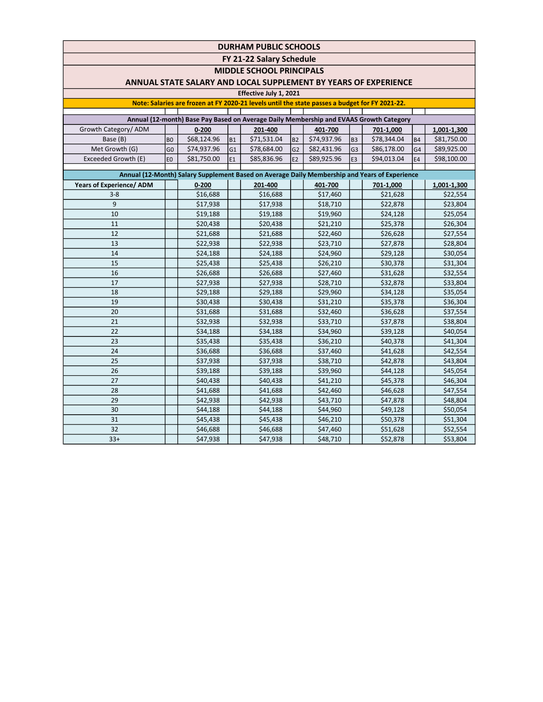FY 21-22 Salary Schedule

MIDDLE SCHOOL PRINCIPALS

### ANNUAL STATE SALARY AND LOCAL SUPPLEMENT BY YEARS OF EXPERIENCE

#### Effective July 1, 2021

| <b>ETTECTIVE JUIV 1, 2021</b>                                                                                                                                                            |                |             |                |             |                |             |                |             |                |             |  |  |  |
|------------------------------------------------------------------------------------------------------------------------------------------------------------------------------------------|----------------|-------------|----------------|-------------|----------------|-------------|----------------|-------------|----------------|-------------|--|--|--|
| Note: Salaries are frozen at FY 2020-21 levels until the state passes a budget for FY 2021-22.                                                                                           |                |             |                |             |                |             |                |             |                |             |  |  |  |
|                                                                                                                                                                                          |                |             |                |             |                |             |                |             |                |             |  |  |  |
| Annual (12-month) Base Pay Based on Average Daily Membership and EVAAS Growth Category                                                                                                   |                |             |                |             |                |             |                |             |                |             |  |  |  |
| Growth Category/ADM                                                                                                                                                                      |                | $0 - 200$   |                | 201-400     |                | 401-700     |                | 701-1.000   |                | 1,001-1,300 |  |  |  |
| Base (B)                                                                                                                                                                                 | B <sub>0</sub> | \$68,124.96 | B <sub>1</sub> | \$71,531.04 | B <sub>2</sub> | \$74,937.96 | B <sub>3</sub> | \$78,344.04 | <b>B4</b>      | \$81,750.00 |  |  |  |
| Met Growth (G)                                                                                                                                                                           | G <sub>0</sub> | \$74,937.96 | lG1            | \$78,684.00 | G <sub>2</sub> | \$82,431.96 | G <sub>3</sub> | \$86,178.00 | G4             | \$89,925.00 |  |  |  |
| Exceeded Growth (E)                                                                                                                                                                      | E <sub>0</sub> | \$81,750.00 | E <sub>1</sub> | \$85,836.96 | E2             | \$89,925.96 | E <sub>3</sub> | \$94,013.04 | E <sub>4</sub> | \$98,100.00 |  |  |  |
|                                                                                                                                                                                          |                |             |                |             |                |             |                |             |                |             |  |  |  |
| Annual (12-Month) Salary Supplement Based on Average Daily Membership and Years of Experience<br>Years of Experience/ ADM<br>201-400<br>401-700<br>$0 - 200$<br>701-1,000<br>1,001-1,300 |                |             |                |             |                |             |                |             |                |             |  |  |  |
|                                                                                                                                                                                          |                |             |                |             |                |             |                |             |                |             |  |  |  |
| $3 - 8$                                                                                                                                                                                  |                | \$16,688    |                | \$16,688    |                | \$17,460    |                | \$21,628    |                | \$22,554    |  |  |  |
| 9                                                                                                                                                                                        |                | \$17,938    |                | \$17,938    |                | \$18,710    |                | \$22,878    |                | \$23,804    |  |  |  |
| 10                                                                                                                                                                                       |                | \$19,188    |                | \$19,188    |                | \$19,960    |                | \$24,128    |                | \$25,054    |  |  |  |
| 11                                                                                                                                                                                       |                | \$20,438    |                | \$20,438    |                | \$21,210    |                | \$25,378    |                | \$26,304    |  |  |  |
| 12                                                                                                                                                                                       |                | \$21,688    |                | \$21,688    |                | \$22,460    |                | \$26,628    |                | \$27,554    |  |  |  |
| 13                                                                                                                                                                                       |                | \$22,938    |                | \$22,938    |                | \$23,710    |                | \$27,878    |                | \$28,804    |  |  |  |
| 14                                                                                                                                                                                       |                | \$24,188    |                | \$24,188    |                | \$24,960    |                | \$29,128    |                | \$30,054    |  |  |  |
| 15                                                                                                                                                                                       |                | \$25,438    |                | \$25,438    |                | \$26,210    |                | \$30,378    |                | \$31,304    |  |  |  |
| 16                                                                                                                                                                                       |                | \$26,688    |                | \$26,688    |                | \$27,460    |                | \$31,628    |                | \$32,554    |  |  |  |
| 17                                                                                                                                                                                       |                | \$27,938    |                | \$27,938    |                | \$28,710    |                | \$32,878    |                | \$33,804    |  |  |  |
| 18                                                                                                                                                                                       |                | \$29,188    |                | \$29,188    |                | \$29,960    |                | \$34,128    |                | \$35,054    |  |  |  |
| 19                                                                                                                                                                                       |                | \$30,438    |                | \$30,438    |                | \$31,210    |                | \$35,378    |                | \$36,304    |  |  |  |
| 20                                                                                                                                                                                       |                | \$31,688    |                | \$31,688    |                | \$32,460    |                | \$36,628    |                | \$37,554    |  |  |  |
| 21                                                                                                                                                                                       |                | \$32,938    |                | \$32,938    |                | \$33,710    |                | \$37,878    |                | \$38,804    |  |  |  |
| 22                                                                                                                                                                                       |                | \$34,188    |                | \$34,188    |                | \$34,960    |                | \$39,128    |                | \$40,054    |  |  |  |
| 23                                                                                                                                                                                       |                | \$35,438    |                | \$35,438    |                | \$36,210    |                | \$40,378    |                | \$41,304    |  |  |  |
| 24                                                                                                                                                                                       |                | \$36,688    |                | \$36,688    |                | \$37,460    |                | \$41,628    |                | \$42,554    |  |  |  |
| 25                                                                                                                                                                                       |                | \$37,938    |                | \$37,938    |                | \$38,710    |                | \$42,878    |                | \$43,804    |  |  |  |
| 26                                                                                                                                                                                       |                | \$39,188    |                | \$39,188    |                | \$39,960    |                | \$44,128    |                | \$45,054    |  |  |  |
| 27                                                                                                                                                                                       |                | \$40,438    |                | \$40,438    |                | \$41,210    |                | \$45,378    |                | \$46,304    |  |  |  |
| 28                                                                                                                                                                                       |                | \$41,688    |                | \$41,688    |                | \$42,460    |                | \$46,628    |                | \$47,554    |  |  |  |
| 29                                                                                                                                                                                       |                | \$42,938    |                | \$42,938    |                | \$43,710    |                | \$47,878    |                | \$48,804    |  |  |  |
| 30                                                                                                                                                                                       |                | \$44,188    |                | \$44,188    |                | \$44,960    |                | \$49,128    |                | \$50,054    |  |  |  |
| 31                                                                                                                                                                                       |                | \$45,438    |                | \$45,438    |                | \$46,210    |                | \$50,378    |                | \$51,304    |  |  |  |
| 32                                                                                                                                                                                       |                | \$46,688    |                | \$46,688    |                | \$47,460    |                | \$51,628    |                | \$52,554    |  |  |  |
| $33+$                                                                                                                                                                                    |                | \$47,938    |                | \$47,938    |                | \$48,710    |                | \$52,878    |                | \$53,804    |  |  |  |
|                                                                                                                                                                                          |                |             |                |             |                |             |                |             |                |             |  |  |  |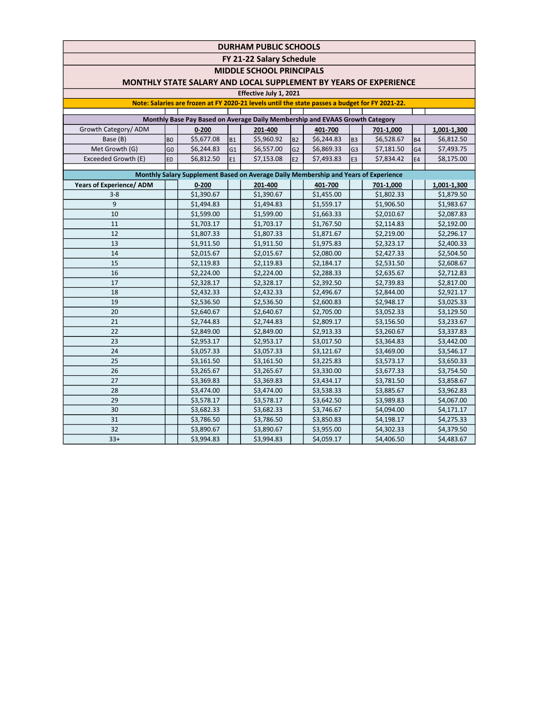FY 21-22 Salary Schedule

MIDDLE SCHOOL PRINCIPALS

### MONTHLY STATE SALARY AND LOCAL SUPPLEMENT BY YEARS OF EXPERIENCE

## Effective July 1, 2021

| <b>LUCCUVE JULY 1, LULL</b>                                                                    |                |            |                |                                                                                     |                |            |                |            |                |             |  |  |
|------------------------------------------------------------------------------------------------|----------------|------------|----------------|-------------------------------------------------------------------------------------|----------------|------------|----------------|------------|----------------|-------------|--|--|
| Note: Salaries are frozen at FY 2020-21 levels until the state passes a budget for FY 2021-22. |                |            |                |                                                                                     |                |            |                |            |                |             |  |  |
| Monthly Base Pay Based on Average Daily Membership and EVAAS Growth Category                   |                |            |                |                                                                                     |                |            |                |            |                |             |  |  |
| Growth Category/ ADM                                                                           |                | $0 - 200$  |                | 201-400                                                                             |                | 401-700    |                | 701-1,000  |                | 1,001-1,300 |  |  |
| Base (B)                                                                                       | B <sub>0</sub> | \$5,677.08 | B1             | \$5,960.92                                                                          | <b>B2</b>      | \$6,244.83 | B <sub>3</sub> | \$6,528.67 | <b>B4</b>      | \$6,812.50  |  |  |
| Met Growth (G)                                                                                 | G <sub>0</sub> | \$6,244.83 | G <sub>1</sub> | \$6,557.00                                                                          | G <sub>2</sub> | \$6,869.33 | G <sub>3</sub> | \$7,181.50 | G <sub>4</sub> | \$7,493.75  |  |  |
| Exceeded Growth (E)                                                                            | E <sub>0</sub> | \$6,812.50 | E <sub>1</sub> | \$7,153.08                                                                          | E2             | \$7,493.83 | E <sub>3</sub> | \$7,834.42 | E <sub>4</sub> | \$8,175.00  |  |  |
|                                                                                                |                |            |                |                                                                                     |                |            |                |            |                |             |  |  |
|                                                                                                |                |            |                | Monthly Salary Supplement Based on Average Daily Membership and Years of Experience |                |            |                |            |                |             |  |  |
| Years of Experience/ ADM                                                                       |                | $0 - 200$  |                | 201-400                                                                             |                | 401-700    |                | 701-1,000  |                | 1,001-1,300 |  |  |
| $3 - 8$                                                                                        |                | \$1,390.67 |                | \$1,390.67                                                                          |                | \$1,455.00 |                | \$1,802.33 |                | \$1,879.50  |  |  |
| 9                                                                                              |                | \$1,494.83 |                | \$1,494.83                                                                          |                | \$1,559.17 |                | \$1,906.50 |                | \$1,983.67  |  |  |
| 10                                                                                             |                | \$1,599.00 |                | \$1,599.00                                                                          |                | \$1,663.33 |                | \$2,010.67 |                | \$2,087.83  |  |  |
| 11                                                                                             |                | \$1,703.17 |                | \$1,703.17                                                                          |                | \$1,767.50 |                | \$2,114.83 |                | \$2,192.00  |  |  |
| 12                                                                                             |                | \$1,807.33 |                | \$1,807.33                                                                          |                | \$1,871.67 |                | \$2,219.00 |                | \$2,296.17  |  |  |
| 13                                                                                             |                | \$1,911.50 |                | \$1,911.50                                                                          |                | \$1,975.83 |                | \$2,323.17 |                | \$2,400.33  |  |  |
| 14                                                                                             |                | \$2,015.67 |                | \$2,015.67                                                                          |                | \$2,080.00 |                | \$2,427.33 |                | \$2,504.50  |  |  |
| 15                                                                                             |                | \$2,119.83 |                | \$2,119.83                                                                          |                | \$2,184.17 |                | \$2,531.50 |                | \$2,608.67  |  |  |
| 16                                                                                             |                | \$2,224.00 |                | \$2,224.00                                                                          |                | \$2,288.33 |                | \$2,635.67 |                | \$2,712.83  |  |  |
| 17                                                                                             |                | \$2,328.17 |                | \$2,328.17                                                                          |                | \$2,392.50 |                | \$2,739.83 |                | \$2,817.00  |  |  |
| 18                                                                                             |                | \$2,432.33 |                | \$2,432.33                                                                          |                | \$2,496.67 |                | \$2,844.00 |                | \$2,921.17  |  |  |
| 19                                                                                             |                | \$2,536.50 |                | \$2,536.50                                                                          |                | \$2,600.83 |                | \$2,948.17 |                | \$3,025.33  |  |  |
| 20                                                                                             |                | \$2,640.67 |                | \$2,640.67                                                                          |                | \$2,705.00 |                | \$3,052.33 |                | \$3,129.50  |  |  |
| 21                                                                                             |                | \$2,744.83 |                | \$2,744.83                                                                          |                | \$2,809.17 |                | \$3,156.50 |                | \$3,233.67  |  |  |
| 22                                                                                             |                | \$2,849.00 |                | \$2,849.00                                                                          |                | \$2,913.33 |                | \$3,260.67 |                | \$3,337.83  |  |  |
| 23                                                                                             |                | \$2,953.17 |                | \$2,953.17                                                                          |                | \$3,017.50 |                | \$3,364.83 |                | \$3,442.00  |  |  |
| 24                                                                                             |                | \$3,057.33 |                | \$3,057.33                                                                          |                | \$3,121.67 |                | \$3,469.00 |                | \$3,546.17  |  |  |
| 25                                                                                             |                | \$3,161.50 |                | \$3,161.50                                                                          |                | \$3,225.83 |                | \$3,573.17 |                | \$3,650.33  |  |  |
| 26                                                                                             |                | \$3,265.67 |                | \$3,265.67                                                                          |                | \$3,330.00 |                | \$3,677.33 |                | \$3,754.50  |  |  |
| 27                                                                                             |                | \$3,369.83 |                | \$3,369.83                                                                          |                | \$3,434.17 |                | \$3,781.50 |                | \$3,858.67  |  |  |
| 28                                                                                             |                | \$3,474.00 |                | \$3,474.00                                                                          |                | \$3,538.33 |                | \$3,885.67 |                | \$3,962.83  |  |  |
| 29                                                                                             |                | \$3,578.17 |                | \$3,578.17                                                                          |                | \$3,642.50 |                | \$3,989.83 |                | \$4,067.00  |  |  |
| 30                                                                                             |                | \$3,682.33 |                | \$3,682.33                                                                          |                | \$3,746.67 |                | \$4,094.00 |                | \$4,171.17  |  |  |
| 31                                                                                             |                | \$3,786.50 |                | \$3,786.50                                                                          |                | \$3,850.83 |                | \$4,198.17 |                | \$4,275.33  |  |  |
| 32                                                                                             |                | \$3,890.67 |                | \$3,890.67                                                                          |                | \$3,955.00 |                | \$4,302.33 |                | \$4,379.50  |  |  |
| $33+$                                                                                          |                | \$3,994.83 |                | \$3,994.83                                                                          |                | \$4,059.17 |                | \$4,406.50 |                | \$4,483.67  |  |  |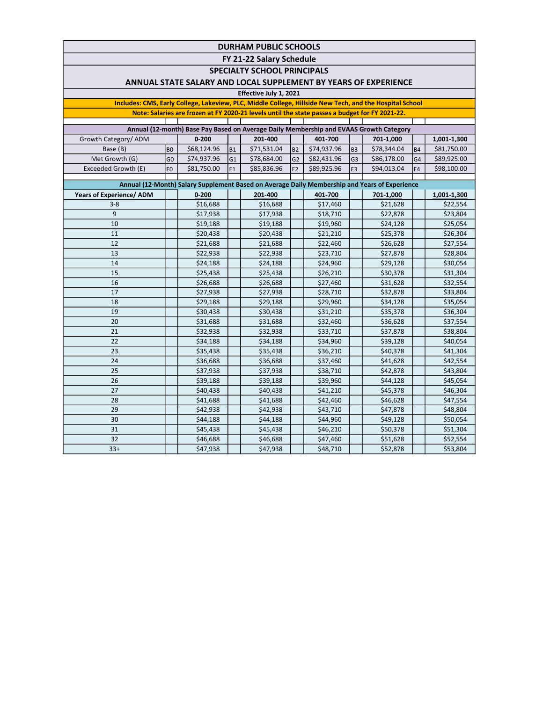FY 21-22 Salary Schedule

SPECIALTY SCHOOL PRINCIPALS

### ANNUAL STATE SALARY AND LOCAL SUPPLEMENT BY YEARS OF EXPERIENCE

#### Effective July 1, 2021

Includes: CMS, Early College, Lakeview, PLC, Middle College, Hillside New Tech, and the Hospital School Note: Salaries are frozen at FY 2020-21 levels until the state passes a budget for FY 2021-22.

| Annual (12-month) Base Pay Based on Average Daily Membership and EVAAS Growth Category |                |             |                 |             |                 |             |                 |             |                 |             |  |  |  |
|----------------------------------------------------------------------------------------|----------------|-------------|-----------------|-------------|-----------------|-------------|-----------------|-------------|-----------------|-------------|--|--|--|
| Growth Category/ADM                                                                    |                | $0 - 200$   |                 | 201-400     |                 | 401-700     |                 | 701-1,000   |                 | 1,001-1,300 |  |  |  |
| Base (B)                                                                               | B <sub>0</sub> | \$68,124.96 | IB <sub>1</sub> | \$71,531.04 | B <sub>2</sub>  | \$74,937.96 | IB <sub>3</sub> | \$78.344.04 | I <sub>B4</sub> | \$81,750.00 |  |  |  |
| Met Growth (G)                                                                         | G <sub>0</sub> | \$74.937.96 | IG1             | \$78,684.00 | lG2             | \$82,431.96 | lG3             | \$86,178.00 | IG4             | \$89,925.00 |  |  |  |
| Exceeded Growth (E)                                                                    | leo            | \$81,750.00 | lE1             | \$85.836.96 | IE <sub>2</sub> | \$89.925.96 | IE3             | \$94.013.04 | IE <sub>4</sub> | \$98,100.00 |  |  |  |
|                                                                                        |                |             |                 |             |                 |             |                 |             |                 |             |  |  |  |

| Annual (12-Month) Salary Supplement Based on Average Daily Membership and Years of Experience |  |           |  |          |  |          |  |           |  |             |  |
|-----------------------------------------------------------------------------------------------|--|-----------|--|----------|--|----------|--|-----------|--|-------------|--|
| Years of Experience/ ADM                                                                      |  | $0 - 200$ |  | 201-400  |  | 401-700  |  | 701-1,000 |  | 1,001-1,300 |  |
| $3 - 8$                                                                                       |  | \$16,688  |  | \$16,688 |  | \$17,460 |  | \$21,628  |  | \$22,554    |  |
| 9                                                                                             |  | \$17,938  |  | \$17,938 |  | \$18,710 |  | \$22,878  |  | \$23,804    |  |
| 10                                                                                            |  | \$19,188  |  | \$19,188 |  | \$19,960 |  | \$24,128  |  | \$25,054    |  |
| 11                                                                                            |  | \$20,438  |  | \$20,438 |  | \$21,210 |  | \$25,378  |  | \$26,304    |  |
| 12                                                                                            |  | \$21,688  |  | \$21,688 |  | \$22,460 |  | \$26,628  |  | \$27,554    |  |
| 13                                                                                            |  | \$22,938  |  | \$22,938 |  | \$23,710 |  | \$27,878  |  | \$28,804    |  |
| 14                                                                                            |  | \$24,188  |  | \$24,188 |  | \$24,960 |  | \$29,128  |  | \$30,054    |  |
| 15                                                                                            |  | \$25,438  |  | \$25,438 |  | \$26,210 |  | \$30,378  |  | \$31,304    |  |
| 16                                                                                            |  | \$26,688  |  | \$26,688 |  | \$27,460 |  | \$31,628  |  | \$32,554    |  |
| 17                                                                                            |  | \$27,938  |  | \$27,938 |  | \$28,710 |  | \$32,878  |  | \$33,804    |  |
| 18                                                                                            |  | \$29,188  |  | \$29,188 |  | \$29,960 |  | \$34,128  |  | \$35,054    |  |
| 19                                                                                            |  | \$30,438  |  | \$30,438 |  | \$31,210 |  | \$35,378  |  | \$36,304    |  |
| 20                                                                                            |  | \$31,688  |  | \$31,688 |  | \$32,460 |  | \$36,628  |  | \$37,554    |  |
| 21                                                                                            |  | \$32,938  |  | \$32,938 |  | \$33,710 |  | \$37,878  |  | \$38,804    |  |
| 22                                                                                            |  | \$34,188  |  | \$34,188 |  | \$34,960 |  | \$39,128  |  | \$40,054    |  |
| 23                                                                                            |  | \$35,438  |  | \$35,438 |  | \$36,210 |  | \$40,378  |  | \$41,304    |  |
| 24                                                                                            |  | \$36,688  |  | \$36,688 |  | \$37,460 |  | \$41,628  |  | \$42,554    |  |
| 25                                                                                            |  | \$37,938  |  | \$37,938 |  | \$38,710 |  | \$42,878  |  | \$43,804    |  |
| 26                                                                                            |  | \$39,188  |  | \$39,188 |  | \$39,960 |  | \$44,128  |  | \$45,054    |  |
| 27                                                                                            |  | \$40,438  |  | \$40,438 |  | \$41,210 |  | \$45,378  |  | \$46,304    |  |
| 28                                                                                            |  | \$41,688  |  | \$41,688 |  | \$42,460 |  | \$46,628  |  | \$47,554    |  |
| 29                                                                                            |  | \$42,938  |  | \$42,938 |  | \$43,710 |  | \$47,878  |  | \$48,804    |  |
| 30                                                                                            |  | \$44,188  |  | \$44,188 |  | \$44,960 |  | \$49,128  |  | \$50,054    |  |
| 31                                                                                            |  | \$45,438  |  | \$45,438 |  | \$46,210 |  | \$50,378  |  | \$51,304    |  |
| 32                                                                                            |  | \$46,688  |  | \$46,688 |  | \$47,460 |  | \$51,628  |  | \$52,554    |  |
| $33+$                                                                                         |  | \$47,938  |  | \$47,938 |  | \$48,710 |  | \$52,878  |  | \$53,804    |  |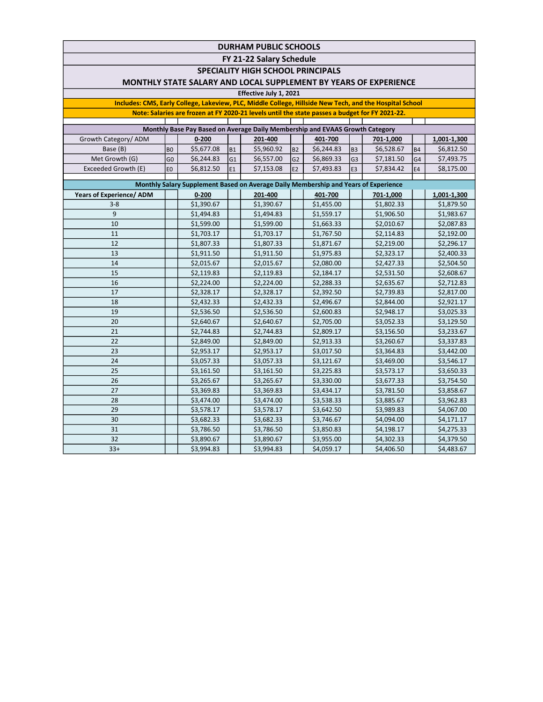FY 21-22 Salary Schedule

SPECIALITY HIGH SCHOOL PRINCIPALS

### MONTHLY STATE SALARY AND LOCAL SUPPLEMENT BY YEARS OF EXPERIENCE

#### Effective July 1, 2021

Includes: CMS, Early College, Lakeview, PLC, Middle College, Hillside New Tech, and the Hospital School Note: Salaries are frozen at FY 2020-21 levels until the state passes a budget for FY 2021-22.

| Monthly Base Pay Based on Average Daily Membership and EVAAS Growth Category |                |            |                 |            |                 |            |                 |            |                 |             |  |  |  |
|------------------------------------------------------------------------------|----------------|------------|-----------------|------------|-----------------|------------|-----------------|------------|-----------------|-------------|--|--|--|
| Growth Category/ADM                                                          |                | $0 - 200$  |                 | 201-400    |                 | 401-700    |                 | 701-1,000  |                 | 1,001-1,300 |  |  |  |
| Base (B)                                                                     | l BO           | \$5,677.08 | I <sub>B1</sub> | \$5,960.92 | IB <sub>2</sub> | \$6,244.83 | IB <sub>3</sub> | \$6,528.67 | B <sub>4</sub>  | \$6,812.50  |  |  |  |
| Met Growth (G)                                                               | G <sub>0</sub> | \$6,244.83 | lG1             | \$6,557.00 | lG2             | \$6,869.33 | lG3             | \$7,181.50 | $\overline{G4}$ | \$7,493.75  |  |  |  |
| Exceeded Growth (E)                                                          | l EO           | \$6,812.50 | IE <sub>1</sub> | \$7,153.08 | IE <sub>2</sub> | \$7,493.83 | lE3             | \$7,834.42 | IE <sub>4</sub> | \$8,175.00  |  |  |  |
|                                                                              |                |            |                 |            |                 |            |                 |            |                 |             |  |  |  |

| Monthly Salary Supplement Based on Average Daily Membership and Years of Experience |  |            |  |            |  |            |  |            |  |             |  |  |
|-------------------------------------------------------------------------------------|--|------------|--|------------|--|------------|--|------------|--|-------------|--|--|
| <b>Years of Experience/ ADM</b>                                                     |  | $0 - 200$  |  | 201-400    |  | 401-700    |  | 701-1,000  |  | 1,001-1,300 |  |  |
| $3 - 8$                                                                             |  | \$1,390.67 |  | \$1,390.67 |  | \$1,455.00 |  | \$1,802.33 |  | \$1,879.50  |  |  |
| 9                                                                                   |  | \$1,494.83 |  | \$1,494.83 |  | \$1,559.17 |  | \$1,906.50 |  | \$1,983.67  |  |  |
| 10                                                                                  |  | \$1,599.00 |  | \$1,599.00 |  | \$1,663.33 |  | \$2,010.67 |  | \$2,087.83  |  |  |
| 11                                                                                  |  | \$1,703.17 |  | \$1,703.17 |  | \$1,767.50 |  | \$2,114.83 |  | \$2,192.00  |  |  |
| 12                                                                                  |  | \$1,807.33 |  | \$1,807.33 |  | \$1,871.67 |  | \$2,219.00 |  | \$2,296.17  |  |  |
| 13                                                                                  |  | \$1,911.50 |  | \$1,911.50 |  | \$1,975.83 |  | \$2,323.17 |  | \$2,400.33  |  |  |
| 14                                                                                  |  | \$2,015.67 |  | \$2,015.67 |  | \$2,080.00 |  | \$2,427.33 |  | \$2,504.50  |  |  |
| 15                                                                                  |  | \$2,119.83 |  | \$2,119.83 |  | \$2,184.17 |  | \$2,531.50 |  | \$2,608.67  |  |  |
| 16                                                                                  |  | \$2,224.00 |  | \$2,224.00 |  | \$2,288.33 |  | \$2,635.67 |  | \$2,712.83  |  |  |
| 17                                                                                  |  | \$2,328.17 |  | \$2,328.17 |  | \$2,392.50 |  | \$2,739.83 |  | \$2,817.00  |  |  |
| 18                                                                                  |  | \$2,432.33 |  | \$2,432.33 |  | \$2,496.67 |  | \$2,844.00 |  | \$2,921.17  |  |  |
| 19                                                                                  |  | \$2,536.50 |  | \$2,536.50 |  | \$2,600.83 |  | \$2,948.17 |  | \$3,025.33  |  |  |
| 20                                                                                  |  | \$2,640.67 |  | \$2,640.67 |  | \$2,705.00 |  | \$3,052.33 |  | \$3,129.50  |  |  |
| 21                                                                                  |  | \$2,744.83 |  | \$2,744.83 |  | \$2,809.17 |  | \$3,156.50 |  | \$3,233.67  |  |  |
| 22                                                                                  |  | \$2,849.00 |  | \$2,849.00 |  | \$2,913.33 |  | \$3,260.67 |  | \$3,337.83  |  |  |
| 23                                                                                  |  | \$2,953.17 |  | \$2,953.17 |  | \$3,017.50 |  | \$3,364.83 |  | \$3,442.00  |  |  |
| 24                                                                                  |  | \$3,057.33 |  | \$3,057.33 |  | \$3,121.67 |  | \$3,469.00 |  | \$3,546.17  |  |  |
| 25                                                                                  |  | \$3,161.50 |  | \$3,161.50 |  | \$3,225.83 |  | \$3,573.17 |  | \$3,650.33  |  |  |
| 26                                                                                  |  | \$3,265.67 |  | \$3,265.67 |  | \$3,330.00 |  | \$3,677.33 |  | \$3,754.50  |  |  |
| 27                                                                                  |  | \$3,369.83 |  | \$3,369.83 |  | \$3,434.17 |  | \$3,781.50 |  | \$3,858.67  |  |  |
| 28                                                                                  |  | \$3,474.00 |  | \$3,474.00 |  | \$3,538.33 |  | \$3,885.67 |  | \$3,962.83  |  |  |
| 29                                                                                  |  | \$3,578.17 |  | \$3,578.17 |  | \$3,642.50 |  | \$3,989.83 |  | \$4,067.00  |  |  |
| 30                                                                                  |  | \$3,682.33 |  | \$3,682.33 |  | \$3,746.67 |  | \$4,094.00 |  | \$4,171.17  |  |  |
| 31                                                                                  |  | \$3,786.50 |  | \$3,786.50 |  | \$3,850.83 |  | \$4,198.17 |  | \$4,275.33  |  |  |
| 32                                                                                  |  | \$3,890.67 |  | \$3,890.67 |  | \$3,955.00 |  | \$4,302.33 |  | \$4,379.50  |  |  |
| $33+$                                                                               |  | \$3,994.83 |  | \$3,994.83 |  | \$4,059.17 |  | \$4,406.50 |  | \$4,483.67  |  |  |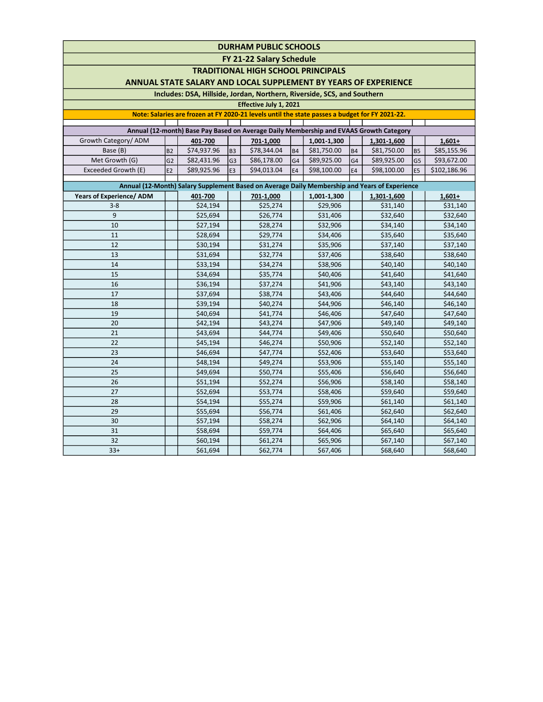FY 21-22 Salary Schedule

TRADITIONAL HIGH SCHOOL PRINCIPALS

### ANNUAL STATE SALARY AND LOCAL SUPPLEMENT BY YEARS OF EXPERIENCE

### Includes: DSA, Hillside, Jordan, Northern, Riverside, SCS, and Southern

### Effective July 1, 2021

#### Note: Salaries are frozen at FY 2020-21 levels until the state passes a budget for FY 2021-22.

| Annual (12-month) Base Pay Based on Average Daily Membership and EVAAS Growth Category |                |             |                 |             |                |             |     |             |                 |              |  |  |  |
|----------------------------------------------------------------------------------------|----------------|-------------|-----------------|-------------|----------------|-------------|-----|-------------|-----------------|--------------|--|--|--|
| Growth Category/ADM                                                                    |                | 401-700     |                 | 701-1,000   |                | 1,001-1,300 |     | 1,301-1,600 |                 | $1,601+$     |  |  |  |
| Base (B)                                                                               | B <sub>2</sub> | \$74.937.96 | IB <sub>3</sub> | \$78,344.04 | B <sub>4</sub> | \$81,750.00 | IB4 | \$81,750.00 | IB <sub>5</sub> | \$85,155.96  |  |  |  |
| Met Growth (G)                                                                         | G2             | \$82,431.96 | lG3             | \$86,178.00 | lG4            | \$89.925.00 | IG4 | \$89,925.00 | lG5             | \$93,672.00  |  |  |  |
| Exceeded Growth (E)                                                                    | E <sub>2</sub> | \$89,925.96 | IE <sub>3</sub> | \$94,013.04 | IE4            | \$98,100.00 | lE4 | \$98,100.00 | les             | \$102,186.96 |  |  |  |
|                                                                                        |                |             |                 |             |                |             |     |             |                 |              |  |  |  |

| Annual (12-Month) Salary Supplement Based on Average Daily Membership and Years of Experience |          |  |           |  |             |  |             |  |          |  |  |  |
|-----------------------------------------------------------------------------------------------|----------|--|-----------|--|-------------|--|-------------|--|----------|--|--|--|
| <b>Years of Experience/ ADM</b>                                                               | 401-700  |  | 701-1,000 |  | 1,001-1,300 |  | 1,301-1,600 |  | $1,601+$ |  |  |  |
| $3 - 8$                                                                                       | \$24,194 |  | \$25,274  |  | \$29,906    |  | \$31,140    |  | \$31,140 |  |  |  |
| 9                                                                                             | \$25,694 |  | \$26,774  |  | \$31,406    |  | \$32,640    |  | \$32,640 |  |  |  |
| 10                                                                                            | \$27,194 |  | \$28,274  |  | \$32,906    |  | \$34,140    |  | \$34,140 |  |  |  |
| 11                                                                                            | \$28,694 |  | \$29,774  |  | \$34,406    |  | \$35,640    |  | \$35,640 |  |  |  |
| 12                                                                                            | \$30,194 |  | \$31,274  |  | \$35,906    |  | \$37,140    |  | \$37,140 |  |  |  |
| 13                                                                                            | \$31,694 |  | \$32,774  |  | \$37,406    |  | \$38,640    |  | \$38,640 |  |  |  |
| 14                                                                                            | \$33,194 |  | \$34,274  |  | \$38,906    |  | \$40,140    |  | \$40,140 |  |  |  |
| 15                                                                                            | \$34,694 |  | \$35,774  |  | \$40,406    |  | \$41,640    |  | \$41,640 |  |  |  |
| 16                                                                                            | \$36,194 |  | \$37,274  |  | \$41,906    |  | \$43,140    |  | \$43,140 |  |  |  |
| 17                                                                                            | \$37,694 |  | \$38,774  |  | \$43,406    |  | \$44,640    |  | \$44,640 |  |  |  |
| 18                                                                                            | \$39,194 |  | \$40,274  |  | \$44,906    |  | \$46,140    |  | \$46,140 |  |  |  |
| 19                                                                                            | \$40,694 |  | \$41,774  |  | \$46,406    |  | \$47,640    |  | \$47,640 |  |  |  |
| 20                                                                                            | \$42,194 |  | \$43,274  |  | \$47,906    |  | \$49,140    |  | \$49,140 |  |  |  |
| 21                                                                                            | \$43,694 |  | \$44,774  |  | \$49,406    |  | \$50,640    |  | \$50,640 |  |  |  |
| 22                                                                                            | \$45,194 |  | \$46,274  |  | \$50,906    |  | \$52,140    |  | \$52,140 |  |  |  |
| 23                                                                                            | \$46,694 |  | \$47,774  |  | \$52,406    |  | \$53,640    |  | \$53,640 |  |  |  |
| 24                                                                                            | \$48,194 |  | \$49,274  |  | \$53,906    |  | \$55,140    |  | \$55,140 |  |  |  |
| 25                                                                                            | \$49,694 |  | \$50,774  |  | \$55,406    |  | \$56,640    |  | \$56,640 |  |  |  |
| 26                                                                                            | \$51,194 |  | \$52,274  |  | \$56,906    |  | \$58,140    |  | \$58,140 |  |  |  |
| 27                                                                                            | \$52,694 |  | \$53,774  |  | \$58,406    |  | \$59,640    |  | \$59,640 |  |  |  |
| 28                                                                                            | \$54,194 |  | \$55,274  |  | \$59,906    |  | \$61,140    |  | \$61,140 |  |  |  |
| 29                                                                                            | \$55,694 |  | \$56,774  |  | \$61,406    |  | \$62,640    |  | \$62,640 |  |  |  |
| 30                                                                                            | \$57,194 |  | \$58,274  |  | \$62,906    |  | \$64,140    |  | \$64,140 |  |  |  |
| 31                                                                                            | \$58,694 |  | \$59,774  |  | \$64,406    |  | \$65,640    |  | \$65,640 |  |  |  |
| 32                                                                                            | \$60,194 |  | \$61,274  |  | \$65,906    |  | \$67,140    |  | \$67,140 |  |  |  |
| $33+$                                                                                         | \$61,694 |  | \$62,774  |  | \$67,406    |  | \$68,640    |  | \$68,640 |  |  |  |